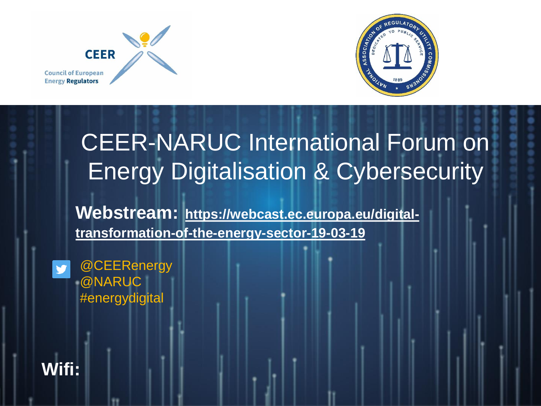



### CEER-NARUC International Forum on Energy Digitalisation & Cybersecurity

**Webstream: https://webcast.ec.europa.eu/digital[transformation-of-the-energy-sector-19-03-19](https://webcast.ec.europa.eu/digital-transformation-of-the-energy-sector-19-03-19)**



**Wifi:**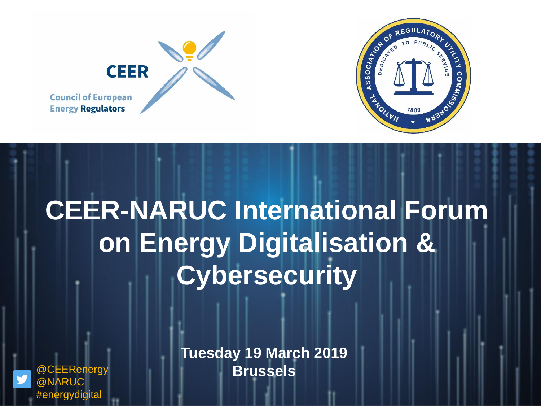



## **CEER-NARUC International Forum on Energy Digitalisation & Cybersecurity**



**Tuesday 19 March 2019** @CEERenergy **Brussels**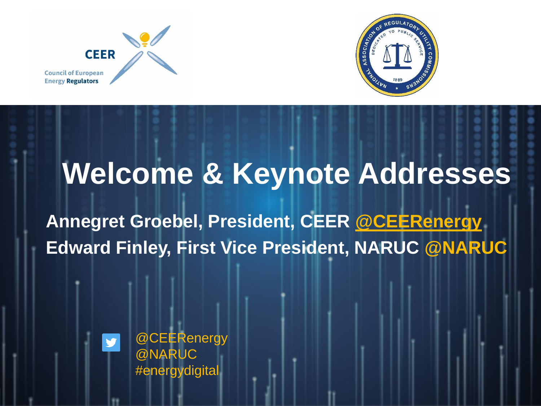



### **Welcome & Keynote Addresses**

**Annegret Groebel, President, CEER [@CEERenergy](https://twitter.com/CEERenergy) Edward Finley, First Vice President, NARUC @NARUC** 



@CEERenergy @NARUC #energydigital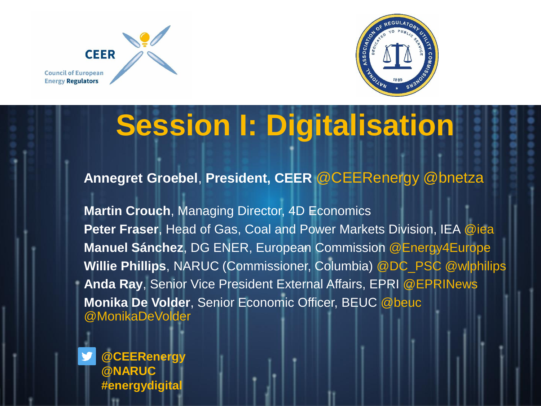



# **Session I: Digitalisation**

#### **Annegret Groebel**, **President, CEER** @CEERenergy @bnetza

**Martin Crouch**, Managing Director, 4D Economics **Peter Fraser**, Head of Gas, Coal and Power Markets Division, IEA @iea **Manuel Sánchez**, DG ENER, European Commission @Energy4Europe **Willie Phillips**, NARUC (Commissioner, Columbia) @DC\_PSC @wlphilips **Anda Ray**, Senior Vice President External Affairs, EPRI @EPRINews **Monika De Volder**, Senior Economic Officer, BEUC @beuc @MonikaDeVolder

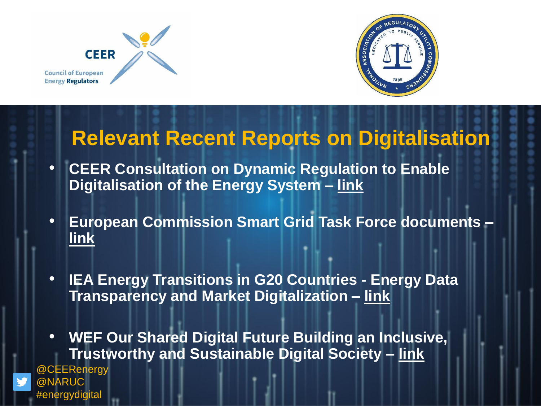

#energydigital



### **Relevant Recent Reports on Digitalisation**

- **CEER Consultation on Dynamic Regulation to Enable Digitalisation of the Energy System – [link](https://www.ceer.eu/eer_consult/open_public_consultations)**
- **European Commission Smart Grid Task Force documents – [link](https://ec.europa.eu/energy/en/topics/market-and-consumers/smart-grids-and-meters/smart-grids-task-force)**
- **IEA Energy Transitions in G20 Countries - Energy Data Transparency and Market Digitalization – [link](https://webstore.iea.org/energy-transitions-in-g20-countries-energy-data-transparency-and-markets-digitalisation)**
- **WEF Our Shared Digital Future Building an Inclusive, Trustworthy and Sustainable Digital Society – [link](http://www3.weforum.org/docs/WEF_Our_Shared_Digital_Future_Report_2018.pdf)** @CEERenergy @NARUC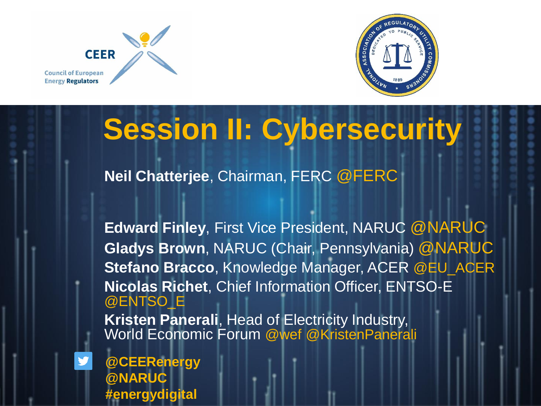



### **Session II: Cybersecurity**

**Neil Chatterjee**, Chairman, FERC @FERC

**Edward Finley**, First Vice President, NARUC @NARUC **Gladys Brown**, NARUC (Chair, Pennsylvania) @NARUC **Stefano Bracco**, Knowledge Manager, ACER @EU\_ACER **Nicolas Richet**, Chief Information Officer, ENTSO-E @ENTSO\_E **Kristen Panerali**, Head of Electricity Industry, World Economic Forum @wef @KristenPanerali

**@CEERenergy @NARUC #energydigital**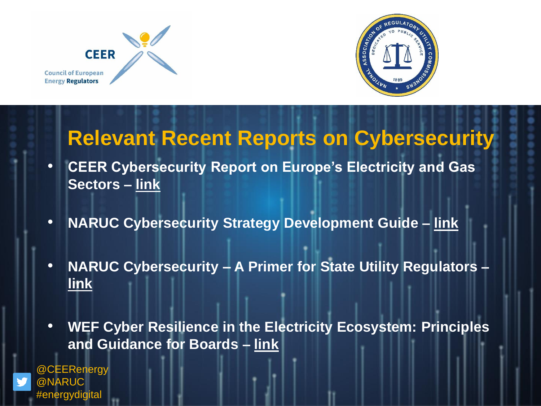



#### **Relevant Recent Reports on Cybersecurity**

- **CEER Cybersecurity Report on Europe's Electricity and Gas Sectors – [link](https://www.ceer.eu/1517)**
- **NARUC Cybersecurity Strategy Development Guide – [link](https://pubs.naruc.org/pub/8C1D5CDD-A2C8-DA11-6DF8-FCC89B5A3204)**
- **NARUC Cybersecurity – A Primer for State Utility Regulators – [link](https://pubs.naruc.org/pub/66D17AE4-A46F-B543-58EF-68B04E8B180F)**
- **WEF Cyber Resilience in the Electricity Ecosystem: Principles and Guidance for Boards – [link](https://www.weforum.org/whitepapers/cyber-resilience-in-the-electricity-ecosystem-principles-and-guidance-for-boards)**

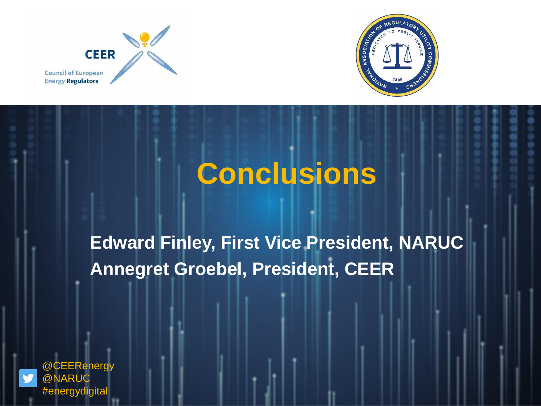



### **Conclusions**

**Edward Finley, First Vice President, NARUC Annegret Groebel, President, CEER**